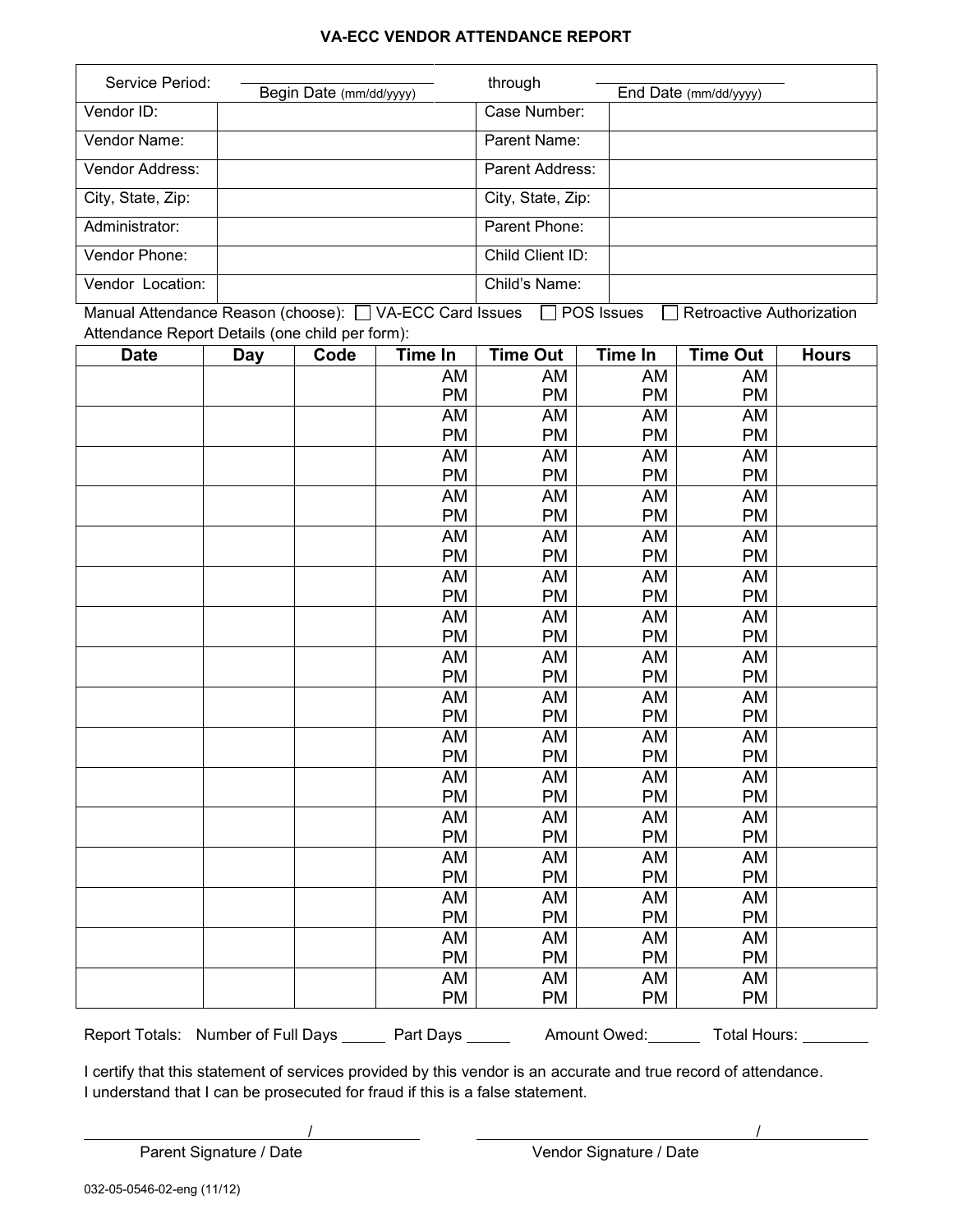## **VA-ECC VENDOR ATTENDANCE REPORT**

| Service Period:   | Begin Date (mm/dd/yyyy) | through           | End Date (mm/dd/yyyy) |
|-------------------|-------------------------|-------------------|-----------------------|
| Vendor ID:        |                         | Case Number:      |                       |
| Vendor Name:      |                         | Parent Name:      |                       |
| Vendor Address:   |                         | Parent Address:   |                       |
| City, State, Zip: |                         | City, State, Zip: |                       |
| Administrator:    |                         | Parent Phone:     |                       |
| Vendor Phone:     |                         | Child Client ID:  |                       |
| Vendor Location:  |                         | Child's Name:     |                       |

Manual Attendance Reason (choose):  $\Box$  VA-ECC Card Issues  $\Box$  POS Issues  $\Box$  Retroactive Authorization Attendance Report Details (one child per form):

| <b>Date</b> | <b>Day</b> | Code | <b>Time In</b> | <b>Time Out</b> | Time In   | <b>Time Out</b> | <b>Hours</b> |
|-------------|------------|------|----------------|-----------------|-----------|-----------------|--------------|
|             |            |      | AM             | AM              | AM        | AM              |              |
|             |            |      | PM             | <b>PM</b>       | <b>PM</b> | PM              |              |
|             |            |      | AM             | AM              | AM        | AM              |              |
|             |            |      | PM             | <b>PM</b>       | PM        | PM              |              |
|             |            |      | <b>AM</b>      | AM              | AM        | AM              |              |
|             |            |      | PM             | <b>PM</b>       | <b>PM</b> | PM              |              |
|             |            |      | AM             | AM              | AM        | AM              |              |
|             |            |      | PM             | PM              | PM        | PM              |              |
|             |            |      | AM             | AM              | AM        | AM              |              |
|             |            |      | PM             | <b>PM</b>       | <b>PM</b> | PM              |              |
|             |            |      | AM             | AM              | AM        | AM              |              |
|             |            |      | PM             | <b>PM</b>       | PM        | PM              |              |
|             |            |      | AM             | AM              | AM        | AM              |              |
|             |            |      | <b>PM</b>      | <b>PM</b>       | PM        | PM              |              |
|             |            |      | AM             | AM              | AM        | AM              |              |
|             |            |      | PM             | <b>PM</b>       | PM        | PM              |              |
|             |            |      | AM             | AM              | AM        | AM              |              |
|             |            |      | PM             | PM              | PM        | PM              |              |
|             |            |      | AM             | AM              | AM        | AM              |              |
|             |            |      | PM             | <b>PM</b>       | <b>PM</b> | PM              |              |
|             |            |      | <b>AM</b>      | AM              | AM        | <b>AM</b>       |              |
|             |            |      | PM             | <b>PM</b>       | PM        | PM              |              |
|             |            |      | AM             | AM              | AM        | AM              |              |
|             |            |      | PM             | <b>PM</b>       | <b>PM</b> | PM              |              |
|             |            |      | AM             | AM              | AM        | AM              |              |
|             |            |      | PM             | <b>PM</b>       | <b>PM</b> | PM              |              |
|             |            |      | AM             | AM              | AM        | AM              |              |
|             |            |      | PM             | <b>PM</b>       | PM        | PM              |              |
|             |            |      | AM             | AM              | AM        | AM              |              |
|             |            |      | PM             | <b>PM</b>       | <b>PM</b> | PM              |              |
|             |            |      | AM             | AM              | AM        | AM              |              |
|             |            |      | PM             | <b>PM</b>       | PM        | PM              |              |

Report Totals: Number of Full Days \_\_\_\_\_\_ Part Days \_\_\_\_\_\_ Amount Owed: Total Hours: \_\_\_\_\_\_\_

I certify that this statement of services provided by this vendor is an accurate and true record of attendance. I understand that I can be prosecuted for fraud if this is a false statement.